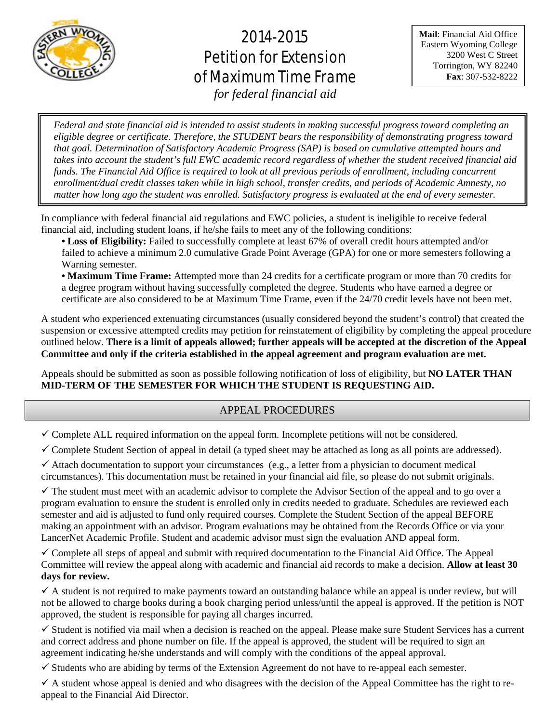

# 2014-2015 Petition for Extension of Maximum Time Frame

**Mail**: Financial Aid Office Eastern Wyoming College 3200 West C Street Torrington, WY 82240 **Fax**: 307-532-8222

*for federal financial aid*

֚֬ ֧ׅ֞֜  $\overline{\phantom{a}}$ ֧֧֦֧֦֧֖֖֖֖֧֧֧֧֦֧֧֧֦֧֧֦֧֧֧֧֧֧֦֧֚֚֚֚֚֚֚֚֚֚֚֚֚֚֚֚֚֚֚֚֚֚֚֚֝֬֝֝֝֓֞֡֝֬֝֬֝֬֝֬֞֝֬֞֡֞֝֬֝֬֞<br>֧֧֪֪֪֪֪֪֪֪֪֪֪֪֪֪֪֪֪֪֪֪֪֪֪֪֪֜֜  $\overline{\mathbf{r}}$  $\mathbf$  $\mathbf{r}$ *Federal and state financial aid is intended to assist students in making successful progress toward completing an eligible degree or certificate. Therefore, the STUDENT bears the responsibility of demonstrating progress toward that goal. Determination of Satisfactory Academic Progress (SAP) is based on cumulative attempted hours and takes into account the student's full EWC academic record regardless of whether the student received financial aid funds. The Financial Aid Office is required to look at all previous periods of enrollment, including concurrent enrollment/dual credit classes taken while in high school, transfer credits, and periods of Academic Amnesty, no matter how long ago the student was enrolled. Satisfactory progress is evaluated at the end of every semester.*

ׇ֞֘֡ In compliance with federal financial aid regulations and EWC policies, a student is ineligible to receive federal financial aid, including student loans, if he/she fails to meet any of the following conditions:

**• Loss of Eligibility:** Failed to successfully complete at least 67% of overall credit hours attempted and/or failed to achieve a minimum 2.0 cumulative Grade Point Average (GPA) for one or more semesters following a Warning semester.

**• Maximum Time Frame:** Attempted more than 24 credits for a certificate program or more than 70 credits for a degree program without having successfully completed the degree. Students who have earned a degree or certificate are also considered to be at Maximum Time Frame, even if the 24/70 credit levels have not been met.

A student who experienced extenuating circumstances (usually considered beyond the student's control) that created the suspension or excessive attempted credits may petition for reinstatement of eligibility by completing the appeal procedure outlined below. **There is a limit of appeals allowed; further appeals will be accepted at the discretion of the Appeal Committee and only if the criteria established in the appeal agreement and program evaluation are met.** 

Appeals should be submitted as soon as possible following notification of loss of eligibility, but **NO LATER THAN MID-TERM OF THE SEMESTER FOR WHICH THE STUDENT IS REQUESTING AID.**

## APPEAL PROCEDURES

 $\checkmark$  Complete ALL required information on the appeal form. Incomplete petitions will not be considered.

 $\checkmark$  Complete Student Section of appeal in detail (a typed sheet may be attached as long as all points are addressed).

 $\checkmark$  Attach documentation to support your circumstances (e.g., a letter from a physician to document medical circumstances). This documentation must be retained in your financial aid file, so please do not submit originals.

 $\checkmark$  The student must meet with an academic advisor to complete the Advisor Section of the appeal and to go over a program evaluation to ensure the student is enrolled only in credits needed to graduate. Schedules are reviewed each semester and aid is adjusted to fund only required courses. Complete the Student Section of the appeal BEFORE making an appointment with an advisor. Program evaluations may be obtained from the Records Office or via your LancerNet Academic Profile. Student and academic advisor must sign the evaluation AND appeal form.

 $\checkmark$  Complete all steps of appeal and submit with required documentation to the Financial Aid Office. The Appeal Committee will review the appeal along with academic and financial aid records to make a decision. **Allow at least 30 days for review.** 

 $\checkmark$  A student is not required to make payments toward an outstanding balance while an appeal is under review, but will not be allowed to charge books during a book charging period unless/until the appeal is approved. If the petition is NOT approved, the student is responsible for paying all charges incurred.

 $\checkmark$  Student is notified via mail when a decision is reached on the appeal. Please make sure Student Services has a current and correct address and phone number on file. If the appeal is approved, the student will be required to sign an agreement indicating he/she understands and will comply with the conditions of the appeal approval.

 $\checkmark$  Students who are abiding by terms of the Extension Agreement do not have to re-appeal each semester.

 $\checkmark$  A student whose appeal is denied and who disagrees with the decision of the Appeal Committee has the right to reappeal to the Financial Aid Director.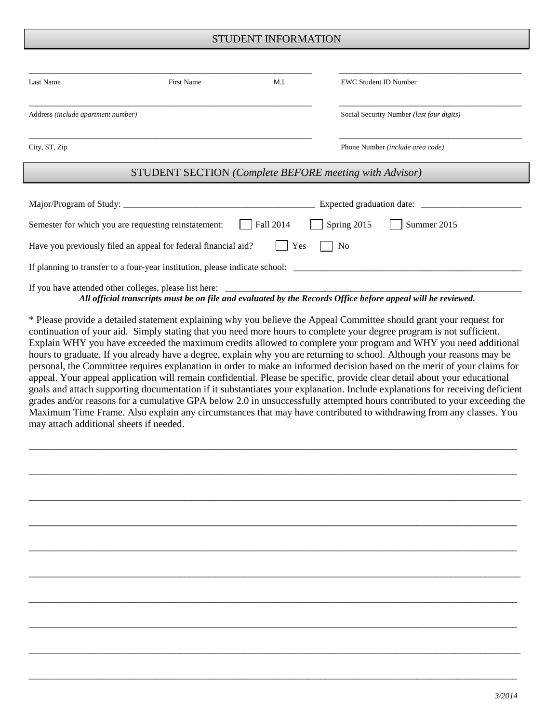### STUDENT INFORMATION

| Last Name                          | First Name                                                     | M.I.                                      | <b>EWC Student ID Number</b> |             |  |
|------------------------------------|----------------------------------------------------------------|-------------------------------------------|------------------------------|-------------|--|
| Address (include apartment number) |                                                                | Social Security Number (last four digits) |                              |             |  |
| City, ST, Zip                      |                                                                | Phone Number (include area code)          |                              |             |  |
|                                    | <b>STUDENT SECTION</b> (Complete BEFORE meeting with Advisor)  |                                           |                              |             |  |
|                                    |                                                                |                                           |                              |             |  |
|                                    | Semester for which you are requesting reinstatement:           | Fall 2014                                 | Spring 2015                  | Summer 2015 |  |
|                                    | Have you previously filed an appeal for federal financial aid? | Yes                                       | N <sub>0</sub>               |             |  |
|                                    |                                                                |                                           |                              |             |  |
|                                    | If you have attended other colleges, please list here:         |                                           |                              |             |  |

*All official transcripts must be on file and evaluated by the Records Office before appeal will be reviewed.*

\* Please provide a detailed statement explaining why you believe the Appeal Committee should grant your request for continuation of your aid. Simply stating that you need more hours to complete your degree program is not sufficient. Explain WHY you have exceeded the maximum credits allowed to complete your program and WHY you need additional hours to graduate. If you already have a degree, explain why you are returning to school. Although your reasons may be personal, the Committee requires explanation in order to make an informed decision based on the merit of your claims for appeal. Your appeal application will remain confidential. Please be specific, provide clear detail about your educational goals and attach supporting documentation if it substantiates your explanation. Include explanations for receiving deficient grades and/or reasons for a cumulative GPA below 2.0 in unsuccessfully attempted hours contributed to your exceeding the Maximum Time Frame. Also explain any circumstances that may have contributed to withdrawing from any classes. You may attach additional sheets if needed.

**\_\_\_\_\_\_\_\_\_\_\_\_\_\_\_\_\_\_\_\_\_\_\_\_\_\_\_\_\_\_\_\_\_\_\_\_\_\_\_\_\_\_\_\_\_\_\_\_\_\_\_\_\_\_\_\_\_\_\_\_\_\_\_\_\_\_\_\_\_\_\_\_\_\_\_\_\_\_\_\_\_\_\_\_\_\_\_\_\_\_\_\_\_\_\_\_\_\_\_\_\_\_\_\_\_\_\_**

\_\_\_\_\_\_\_\_\_\_\_\_\_\_\_\_\_\_\_\_\_\_\_\_\_\_\_\_\_\_\_\_\_\_\_\_\_\_\_\_\_\_\_\_\_\_\_\_\_\_\_\_\_\_\_\_\_\_\_\_\_\_\_\_\_\_\_\_\_\_\_\_\_\_\_\_\_\_\_\_\_\_\_\_\_\_\_\_\_\_\_\_\_\_\_\_\_\_\_\_\_\_\_\_\_\_\_

\_\_\_\_\_\_\_\_\_\_\_\_\_\_\_\_\_\_\_\_\_\_\_\_\_\_\_\_\_\_\_\_\_\_\_\_\_\_\_\_\_\_\_\_\_\_\_\_\_\_\_\_\_\_\_\_\_\_\_\_\_\_\_\_\_\_\_\_\_\_\_\_\_\_\_\_\_\_\_\_\_\_\_\_\_\_\_\_\_\_\_\_\_\_\_\_\_\_

**\_\_\_\_\_\_\_\_\_\_\_\_\_\_\_\_\_\_\_\_\_\_\_\_\_\_\_\_\_\_\_\_\_\_\_\_\_\_\_\_\_\_\_\_\_\_\_\_\_\_\_\_\_\_\_\_\_\_\_\_\_\_\_\_\_\_\_\_\_\_\_\_\_\_\_\_\_\_\_\_\_\_\_\_\_\_\_\_\_\_\_\_\_\_\_\_\_\_\_\_\_\_\_\_\_\_\_**

\_\_\_\_\_\_\_\_\_\_\_\_\_\_\_\_\_\_\_\_\_\_\_\_\_\_\_\_\_\_\_\_\_\_\_\_\_\_\_\_\_\_\_\_\_\_\_\_\_\_\_\_\_\_\_\_\_\_\_\_\_\_\_\_\_\_\_\_\_\_\_\_\_\_\_\_\_\_\_\_\_\_\_\_\_\_\_\_\_\_\_\_\_\_\_\_\_\_\_\_\_\_\_\_\_\_\_

\_\_\_\_\_\_\_\_\_\_\_\_\_\_\_\_\_\_\_\_\_\_\_\_\_\_\_\_\_\_\_\_\_\_\_\_\_\_\_\_\_\_\_\_\_\_\_\_\_\_\_\_\_\_\_\_\_\_\_\_\_\_\_\_\_\_\_\_\_\_\_\_\_\_\_\_\_\_\_\_\_\_\_\_\_\_\_\_\_\_\_\_\_\_\_\_\_\_

**\_\_\_\_\_\_\_\_\_\_\_\_\_\_\_\_\_\_\_\_\_\_\_\_\_\_\_\_\_\_\_\_\_\_\_\_\_\_\_\_\_\_\_\_\_\_\_\_\_\_\_\_\_\_\_\_\_\_\_\_\_\_\_\_\_\_\_\_\_\_\_\_\_\_\_\_\_\_\_\_\_\_\_\_\_\_\_\_\_\_\_\_\_\_\_\_\_\_\_\_\_\_\_\_\_\_\_**

\_\_\_\_\_\_\_\_\_\_\_\_\_\_\_\_\_\_\_\_\_\_\_\_\_\_\_\_\_\_\_\_\_\_\_\_\_\_\_\_\_\_\_\_\_\_\_\_\_\_\_\_\_\_\_\_\_\_\_\_\_\_\_\_\_\_\_\_\_\_\_\_\_\_\_\_\_\_\_\_\_\_\_\_\_\_\_\_\_\_\_\_\_\_\_\_\_\_\_\_\_\_\_\_\_\_\_

\_\_\_\_\_\_\_\_\_\_\_\_\_\_\_\_\_\_\_\_\_\_\_\_\_\_\_\_\_\_\_\_\_\_\_\_\_\_\_\_\_\_\_\_\_\_\_\_\_\_\_\_\_\_\_\_\_\_\_\_\_\_\_\_\_\_\_\_\_\_\_\_\_\_\_\_\_\_\_\_\_\_\_\_\_\_\_\_\_\_\_\_\_\_\_\_\_\_

\_\_\_\_\_\_\_\_\_\_\_\_\_\_\_\_\_\_\_\_\_\_\_\_\_\_\_\_\_\_\_\_\_\_\_\_\_\_\_\_\_\_\_\_\_\_\_\_\_\_\_\_\_\_\_\_\_\_\_\_\_\_\_\_\_\_\_\_\_\_\_\_\_\_\_\_\_\_\_\_\_\_\_\_\_\_\_\_\_\_\_\_\_\_\_\_\_\_\_\_\_\_\_\_\_\_\_